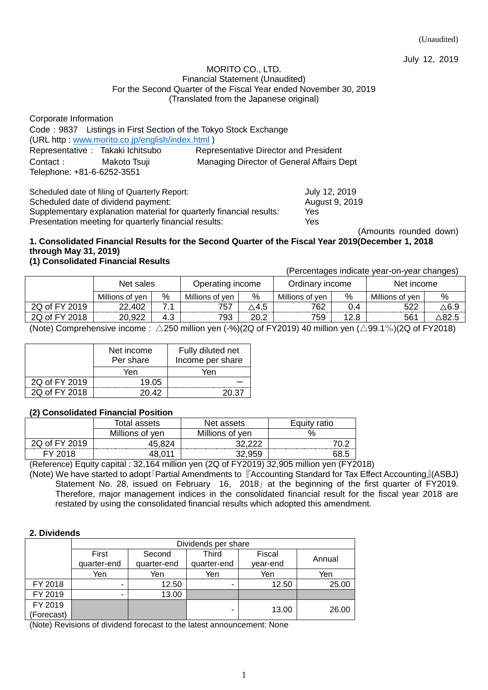July 12, 2019

#### MORITO CO., LTD. Financial Statement (Unaudited) For the Second Quarter of the Fiscal Year ended November 30, 2019 (Translated from the Japanese original)

| Corporate Information                                            |                                           |
|------------------------------------------------------------------|-------------------------------------------|
| Code: 9837 Listings in First Section of the Tokyo Stock Exchange |                                           |
| (URL http: www.morito.co.jp/english/index.html)                  |                                           |
| Representative : Takaki Ichitsubo                                | Representative Director and President     |
| Contact: Makoto Tsuji                                            | Managing Director of General Affairs Dept |
| Telephone: +81-6-6252-3551                                       |                                           |
|                                                                  |                                           |

Scheduled date of filing of Quarterly Report: July 12, 2019 Scheduled date of dividend payment: August 9, 2019 Supplementary explanation material for quarterly financial results: Yes Presentation meeting for quarterly financial results: Yes

(Amounts rounded down)

## **1. Consolidated Financial Results for the Second Quarter of the Fiscal Year 2019(December 1, 2018 through May 31, 2019)**

## **(1) Consolidated Financial Results**

(Percentages indicate year-on-year changes)

|               | Net sales       |     | Operating income |              | Ordinary income |                  | Net income      |      |
|---------------|-----------------|-----|------------------|--------------|-----------------|------------------|-----------------|------|
|               | Millions of ven | %   | Millions of ven  | %            | Millions of ven | %                | Millions of ven | %    |
| 2Q of FY 2019 | .402<br>າາ      |     | 757              | $\Delta$ 4.5 | 762             | $\mathcal{D}$ .4 | につつ             | ∆6.Չ |
| 2Q of FY 2018 | 20,922          | 4.3 | 793              | 20.2         | 759             | 12.8             | 561             | 82.5 |

(Note) Comprehensive income :  $\triangle$ 250 million yen (-%)(2Q of FY2019) 40 million yen ( $\triangle$ 99.1%)(2Q of FY2018)

|               | Net income<br>Per share | Fully diluted net<br>Income per share |
|---------------|-------------------------|---------------------------------------|
|               | Yen                     | Yen                                   |
| 2Q of FY 2019 | 19.05                   |                                       |
| 2Q of FY 2018 | 20.42                   | 20.37                                 |

### **(2) Consolidated Financial Position**

|               | Total assets    | Net assets      | Eauitv<br>ratio |  |
|---------------|-----------------|-----------------|-----------------|--|
|               | Millions of yen | Millions of yen | $\%$            |  |
| 2Q of FY 2019 | 45.824          | ההה הה          |                 |  |
|               |                 |                 |                 |  |

(Reference) Equity capital : 32,164 million yen (2Q of FY2019) 32,905 million yen (FY2018)

(Note) We have started to adopt「Partial Amendments to 『Accounting Standard for Tax Effect Accounting』(ASBJ) Statement No. 28, issued on February 16, 2018 at the beginning of the first quarter of FY2019. Therefore, major management indices in the consolidated financial result for the fiscal year 2018 are restated by using the consolidated financial results which adopted this amendment.

### **2. Dividends**

|            | Dividends per share |             |             |          |        |  |  |
|------------|---------------------|-------------|-------------|----------|--------|--|--|
|            | First               | Second      | Third       | Fiscal   |        |  |  |
|            | quarter-end         | quarter-end | quarter-end | year-end | Annual |  |  |
|            | Yen                 | Yen         | Yen         | Yen      | Yen    |  |  |
| FY 2018    | -                   | 12.50       | -           | 12.50    | 25.00  |  |  |
| FY 2019    |                     | 13.00       |             |          |        |  |  |
| FY 2019    |                     |             |             | 13.00    | 26.00  |  |  |
| (Forecast) |                     |             |             |          |        |  |  |

(Note) Revisions of dividend forecast to the latest announcement: None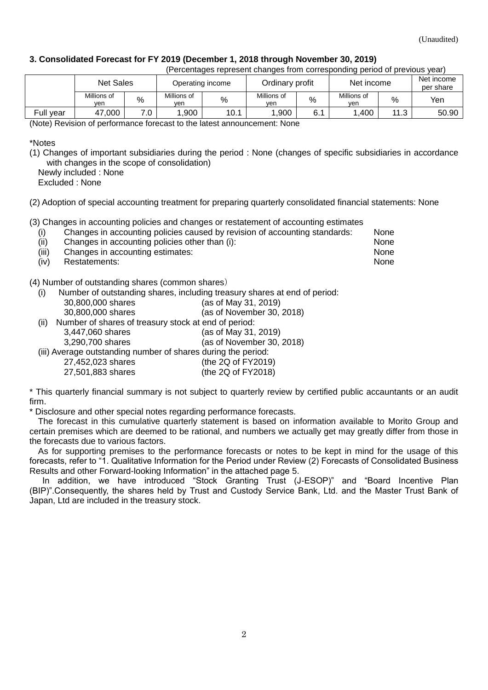### **3. Consolidated Forecast for FY 2019 (December 1, 2018 through November 30, 2019)**

| (Percentages represent changes from corresponding period of previous year) |                    |     |                    |                  |                               |      |                    |                         |       |
|----------------------------------------------------------------------------|--------------------|-----|--------------------|------------------|-------------------------------|------|--------------------|-------------------------|-------|
|                                                                            | <b>Net Sales</b>   |     |                    | Operating income | Ordinary profit<br>Net income |      |                    | Net income<br>per share |       |
|                                                                            | Millions of<br>ven | %   | Millions of<br>ven | %                | Millions of<br>ven            | $\%$ | Millions of<br>ven | $\%$                    | Yen   |
| Full year                                                                  | 47,000             | 7.0 | .900               | 10.1             | 1.900                         | 6.1  | ∣.400              | 11.3                    | 50.90 |

#### (Note) Revision of performance forecast to the latest announcement: None

\*Notes

(1) Changes of important subsidiaries during the period : None (changes of specific subsidiaries in accordance with changes in the scope of consolidation)

Newly included : None

Excluded : None

(2) Adoption of special accounting treatment for preparing quarterly consolidated financial statements: None

(3) Changes in accounting policies and changes or restatement of accounting estimates

| (i)      | Changes in accounting policies caused by revision of accounting standards:                                                                                                                                                     | None |
|----------|--------------------------------------------------------------------------------------------------------------------------------------------------------------------------------------------------------------------------------|------|
| (ii)     | Changes in accounting policies other than (i):                                                                                                                                                                                 | None |
| $\cdots$ | and the contract of the contract of the contract of the contract of the contract of the contract of the contract of the contract of the contract of the contract of the contract of the contract of the contract of the contra |      |

(iii) Changes in accounting estimates: None (iv) Restatements: None

(4) Number of outstanding shares (common shares)

(i) Number of outstanding shares, including treasury shares at end of period:

| 30,800,000 shares |  | (as of May 31, 2019) |
|-------------------|--|----------------------|

| 30,800,000 shares | (as of November 30, 2018) |
|-------------------|---------------------------|
|-------------------|---------------------------|

(ii) Number of shares of treasury stock at end of period:

3,447,060 shares (as of May 31, 2019)

3,290,700 shares (as of November 30, 2018)

- (iii) Average outstanding number of shares during the period:
	- 27,452,023 shares (the 2Q of FY2019) 27,501,883 shares (the 2Q of FY2018)

\* This quarterly financial summary is not subject to quarterly review by certified public accauntants or an audit firm.

\* Disclosure and other special notes regarding performance forecasts.

The forecast in this cumulative quarterly statement is based on information available to Morito Group and certain premises which are deemed to be rational, and numbers we actually get may greatly differ from those in the forecasts due to various factors.

As for supporting premises to the performance forecasts or notes to be kept in mind for the usage of this forecasts, refer to "1. Qualitative Information for the Period under Review (2) Forecasts of Consolidated Business Results and other Forward-looking Information" in the attached page 5.

In addition, we have introduced "Stock Granting Trust (J-ESOP)" and "Board Incentive Plan (BIP)".Consequently, the shares held by Trust and Custody Service Bank, Ltd. and the Master Trust Bank of Japan, Ltd are included in the treasury stock.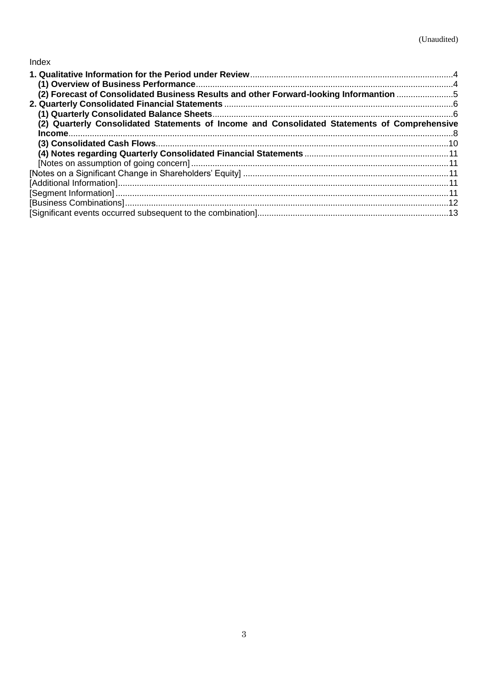# Index

| (2) Forecast of Consolidated Business Results and other Forward-looking Informantion 5       |  |
|----------------------------------------------------------------------------------------------|--|
|                                                                                              |  |
|                                                                                              |  |
| (2) Quarterly Consolidated Statements of Income and Consolidated Statements of Comprehensive |  |
|                                                                                              |  |
|                                                                                              |  |
|                                                                                              |  |
|                                                                                              |  |
|                                                                                              |  |
|                                                                                              |  |
|                                                                                              |  |
|                                                                                              |  |
|                                                                                              |  |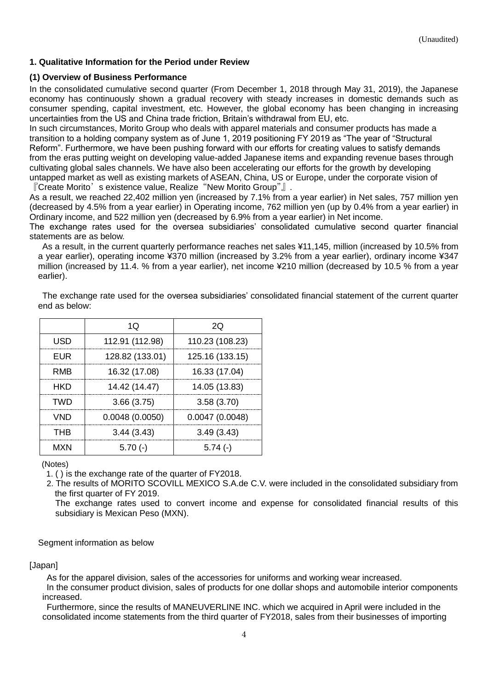### <span id="page-3-0"></span>**1. Qualitative Information for the Period under Review**

#### <span id="page-3-1"></span>**(1) Overview of Business Performance**

In the consolidated cumulative second quarter (From December 1, 2018 through May 31, 2019), the Japanese economy has continuously shown a gradual recovery with steady increases in domestic demands such as consumer spending, capital investment, etc. However, the global economy has been changing in increasing uncertainties from the US and China trade friction, Britain's withdrawal from EU, etc.

In such circumstances, Morito Group who deals with apparel materials and consumer products has made a transition to a holding company system as of June 1, 2019 positioning FY 2019 as "The year of "Structural Reform". Furthermore, we have been pushing forward with our efforts for creating values to satisfy demands from the eras putting weight on developing value-added Japanese items and expanding revenue bases through cultivating global sales channels. We have also been accelerating our efforts for the growth by developing untapped market as well as existing markets of ASEAN, China, US or Europe, under the corporate vision of 『Create Morito's existence value, Realize "New Morito Group"』.

As a result, we reached 22,402 million yen (increased by 7.1% from a year earlier) in Net sales, 757 million yen (decreased by 4.5% from a year earlier) in Operating income, 762 million yen (up by 0.4% from a year earlier) in Ordinary income, and 522 million yen (decreased by 6.9% from a year earlier) in Net income.

The exchange rates used for the oversea subsidiaries' consolidated cumulative second quarter financial statements are as below.

As a result, in the current quarterly performance reaches net sales ¥11,145, million (increased by 10.5% from a year earlier), operating income ¥370 million (increased by 3.2% from a year earlier), ordinary income ¥347 million (increased by 11.4. % from a year earlier), net income ¥210 million (decreased by 10.5 % from a year earlier).

|            | 1Q              | 20              |
|------------|-----------------|-----------------|
| <b>USD</b> | 112.91 (112.98) | 110.23 (108.23) |
| <b>EUR</b> | 128.82 (133.01) | 125.16 (133.15) |
| <b>RMB</b> | 16.32 (17.08)   | 16.33 (17.04)   |
| <b>HKD</b> | 14.42 (14.47)   | 14.05 (13.83)   |
| <b>TWD</b> | 3.66(3.75)      | 3.58(3.70)      |
| <b>VND</b> | 0.0048(0.0050)  | 0.0047(0.0048)  |
| <b>THB</b> | 3.44(3.43)      | 3.49(3.43)      |
| <b>MXN</b> | $5.70(-)$       | $5.74(-)$       |

The exchange rate used for the oversea subsidiaries' consolidated financial statement of the current quarter end as below:

#### (Notes)

1. ( ) is the exchange rate of the quarter of FY2018.

2. The results of MORITO SCOVILL MEXICO S.A.de C.V. were included in the consolidated subsidiary from the first quarter of FY 2019.

The exchange rates used to convert income and expense for consolidated financial results of this subsidiary is Mexican Peso (MXN).

#### Segment information as below

#### [Japan]

As for the apparel division, sales of the accessories for uniforms and working wear increased.

In the consumer product division, sales of products for one dollar shops and automobile interior components increased.

Furthermore, since the results of MANEUVERLINE INC. which we acquired in April were included in the consolidated income statements from the third quarter of FY2018, sales from their businesses of importing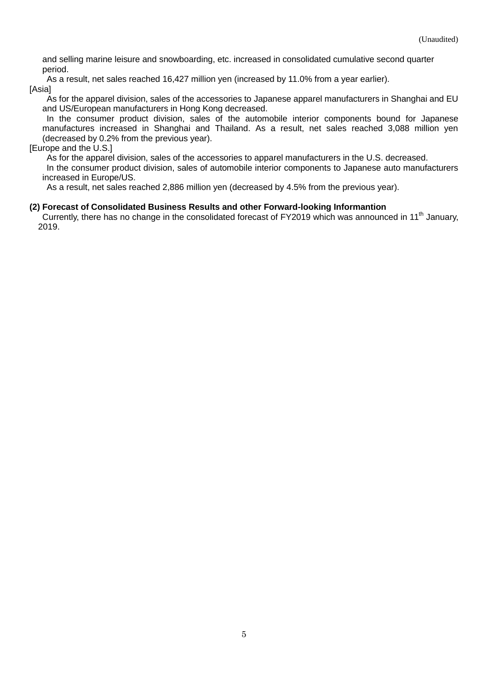and selling marine leisure and snowboarding, etc. increased in consolidated cumulative second quarter period.

As a result, net sales reached 16,427 million yen (increased by 11.0% from a year earlier).

[Asia]

As for the apparel division, sales of the accessories to Japanese apparel manufacturers in Shanghai and EU and US/European manufacturers in Hong Kong decreased.

In the consumer product division, sales of the automobile interior components bound for Japanese manufactures increased in Shanghai and Thailand. As a result, net sales reached 3,088 million yen (decreased by 0.2% from the previous year).

#### [Europe and the U.S.]

As for the apparel division, sales of the accessories to apparel manufacturers in the U.S. decreased. In the consumer product division, sales of automobile interior components to Japanese auto manufacturers

increased in Europe/US. As a result, net sales reached 2,886 million yen (decreased by 4.5% from the previous year).

#### <span id="page-4-0"></span>**(2) Forecast of Consolidated Business Results and other Forward-looking Informantion**

Currently, there has no change in the consolidated forecast of FY2019 which was announced in 11<sup>th</sup> January, 2019.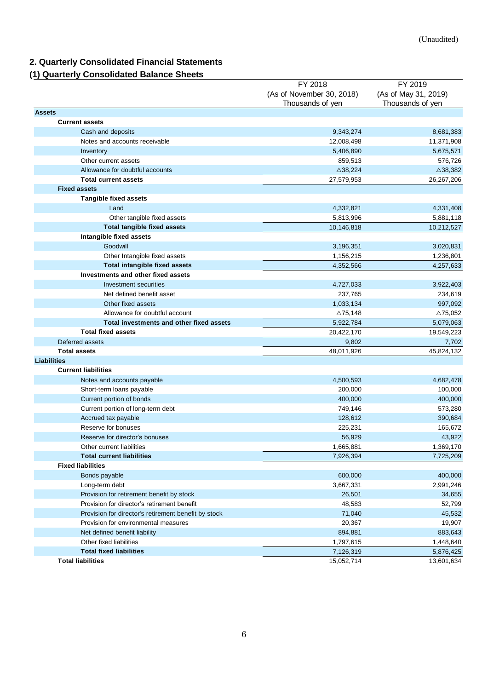# <span id="page-5-0"></span>**2. Quarterly Consolidated Financial Statements**

# <span id="page-5-1"></span>**(1) Quarterly Consolidated Balance Sheets**

| 999. .VII.<br><u>soniosiidatoa Baiarroo orioo</u>    |                           |                      |
|------------------------------------------------------|---------------------------|----------------------|
|                                                      | FY 2018                   | FY 2019              |
|                                                      | (As of November 30, 2018) | (As of May 31, 2019) |
|                                                      | Thousands of yen          | Thousands of yen     |
| <b>Assets</b>                                        |                           |                      |
| <b>Current assets</b>                                |                           |                      |
| Cash and deposits                                    | 9,343,274                 | 8,681,383            |
| Notes and accounts receivable                        | 12,008,498                | 11,371,908           |
| Inventory                                            | 5,406,890                 | 5,675,571            |
| Other current assets                                 | 859,513                   | 576,726              |
| Allowance for doubtful accounts                      | $\triangle$ 38,224        | $\triangle$ 38,382   |
| <b>Total current assets</b>                          | 27,579,953                | 26,267,206           |
| <b>Fixed assets</b>                                  |                           |                      |
| <b>Tangible fixed assets</b>                         |                           |                      |
| Land                                                 | 4,332,821                 | 4,331,408            |
| Other tangible fixed assets                          | 5,813,996                 | 5,881,118            |
| <b>Total tangible fixed assets</b>                   | 10,146,818                | 10,212,527           |
| Intangible fixed assets                              |                           |                      |
| Goodwill                                             | 3,196,351                 | 3,020,831            |
| Other Intangible fixed assets                        | 1,156,215                 | 1,236,801            |
| <b>Total intangible fixed assets</b>                 | 4,352,566                 | 4,257,633            |
| Investments and other fixed assets                   |                           |                      |
| Investment securities                                | 4,727,033                 | 3,922,403            |
| Net defined benefit asset                            | 237,765                   | 234,619              |
| Other fixed assets                                   | 1,033,134                 | 997,092              |
| Allowance for doubtful account                       | $\triangle$ 75,148        | $\triangle$ 75,052   |
| Total investments and other fixed assets             | 5,922,784                 | 5,079,063            |
| <b>Total fixed assets</b>                            | 20,422,170                | 19,549,223           |
| Deferred assets                                      | 9,802                     | 7,702                |
| <b>Total assets</b>                                  | 48,011,926                | 45,824,132           |
| <b>Liabilities</b>                                   |                           |                      |
| <b>Current liabilities</b>                           |                           |                      |
| Notes and accounts payable                           | 4,500,593                 | 4,682,478            |
| Short-term loans payable                             | 200,000                   | 100,000              |
| Current portion of bonds                             | 400,000                   | 400,000              |
| Current portion of long-term debt                    | 749,146                   | 573,280              |
| Accrued tax payable                                  | 128,612                   | 390,684              |
| Reserve for bonuses                                  | 225,231                   | 165,672              |
| Reserve for director's bonuses                       | 56,929                    | 43,922               |
| Other current liabilities                            | 1,665,881                 | 1,369,170            |
| <b>Total current liabilities</b>                     | 7,926,394                 | 7,725,209            |
| <b>Fixed liabilities</b>                             |                           |                      |
| Bonds payable                                        | 600,000                   | 400,000              |
| Long-term debt                                       | 3,667,331                 | 2,991,246            |
| Provision for retirement benefit by stock            | 26,501                    | 34,655               |
| Provision for director's retirement benefit          | 48,583                    | 52,799               |
| Provision for director's retirement benefit by stock | 71,040                    | 45,532               |
| Provision for environmental measures                 | 20,367                    | 19,907               |
| Net defined benefit liability                        | 894,881                   | 883,643              |
| Other fixed liabilities                              | 1,797,615                 | 1,448,640            |
| <b>Total fixed liabilities</b>                       | 7,126,319                 | 5,876,425            |
| <b>Total liabilities</b>                             | 15,052,714                | 13,601,634           |
|                                                      |                           |                      |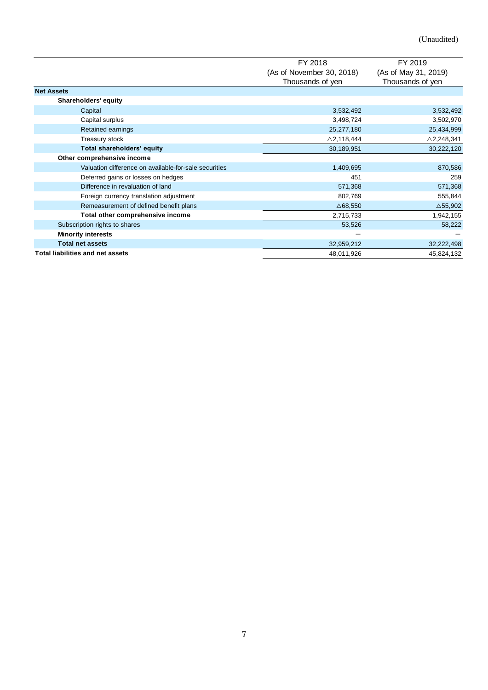|                                                       | FY 2018                   | FY 2019               |  |
|-------------------------------------------------------|---------------------------|-----------------------|--|
|                                                       | (As of November 30, 2018) | (As of May 31, 2019)  |  |
|                                                       | Thousands of yen          | Thousands of yen      |  |
| <b>Net Assets</b>                                     |                           |                       |  |
| Shareholders' equity                                  |                           |                       |  |
| Capital                                               | 3,532,492                 | 3,532,492             |  |
| Capital surplus                                       | 3,498,724                 | 3,502,970             |  |
| Retained earnings                                     | 25,277,180                | 25,434,999            |  |
| Treasury stock                                        | $\triangle$ 2,118,444     | $\triangle$ 2,248,341 |  |
| Total shareholders' equity                            | 30,189,951                | 30,222,120            |  |
| Other comprehensive income                            |                           |                       |  |
| Valuation difference on available-for-sale securities | 1,409,695                 | 870,586               |  |
| Deferred gains or losses on hedges                    | 451                       | 259                   |  |
| Difference in revaluation of land                     | 571,368                   | 571,368               |  |
| Foreign currency translation adjustment               | 802,769                   | 555,844               |  |
| Remeasurement of defined benefit plans                | $\triangle$ 68,550        | $\triangle$ 55,902    |  |
| Total other comprehensive income                      | 2,715,733                 | 1,942,155             |  |
| Subscription rights to shares                         | 53,526                    | 58,222                |  |
| <b>Minority interests</b>                             |                           |                       |  |
| <b>Total net assets</b>                               | 32,959,212                | 32,222,498            |  |
| <b>Total liabilities and net assets</b>               | 48,011,926                | 45,824,132            |  |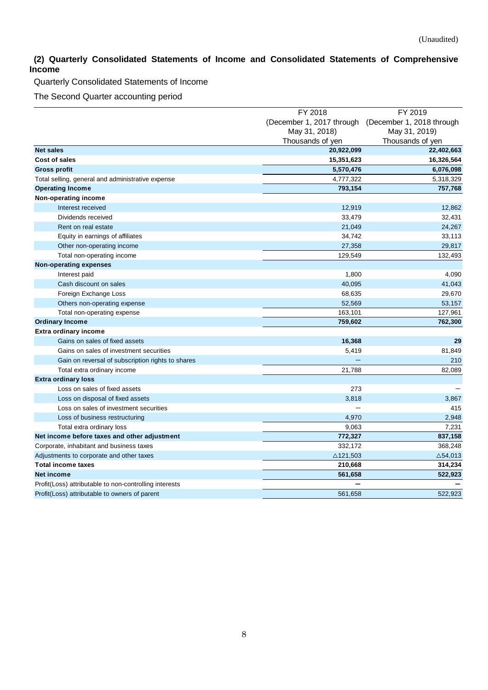## <span id="page-7-0"></span>**(2) Quarterly Consolidated Statements of Income and Consolidated Statements of Comprehensive Income**

Quarterly Consolidated Statements of Income

The Second Quarter accounting period

|                                                        | FY 2018                   | FY 2019                   |  |
|--------------------------------------------------------|---------------------------|---------------------------|--|
|                                                        | (December 1, 2017 through | (December 1, 2018 through |  |
|                                                        | May 31, 2018)             | May 31, 2019)             |  |
|                                                        | Thousands of yen          | Thousands of yen          |  |
| <b>Net sales</b>                                       | 20,922,099                | 22,402,663                |  |
| Cost of sales                                          | 15,351,623                | 16,326,564                |  |
| <b>Gross profit</b>                                    | 5,570,476                 | 6,076,098                 |  |
| Total selling, general and administrative expense      | 4,777,322                 | 5,318,329                 |  |
| <b>Operating Income</b>                                | 793,154                   | 757,768                   |  |
| Non-operating income                                   |                           |                           |  |
| Interest received                                      | 12,919                    | 12,862                    |  |
| Dividends received                                     | 33,479                    | 32,431                    |  |
| Rent on real estate                                    | 21,049                    | 24,267                    |  |
| Equity in earnings of affiliates                       | 34,742                    | 33,113                    |  |
| Other non-operating income                             | 27,358                    | 29,817                    |  |
| Total non-operating income                             | 129,549                   | 132,493                   |  |
| <b>Non-operating expenses</b>                          |                           |                           |  |
| Interest paid                                          | 1,800                     | 4,090                     |  |
| Cash discount on sales                                 | 40,095                    | 41,043                    |  |
| Foreign Exchange Loss                                  | 68,635                    | 29,670                    |  |
| Others non-operating expense                           | 52,569                    | 53,157                    |  |
| Total non-operating expense                            | 163,101                   | 127,961                   |  |
| <b>Ordinary Income</b>                                 | 759,602                   | 762,300                   |  |
| <b>Extra ordinary income</b>                           |                           |                           |  |
| Gains on sales of fixed assets                         | 16,368                    | 29                        |  |
| Gains on sales of investment securities                | 5,419                     | 81,849                    |  |
| Gain on reversal of subscription rights to shares      |                           | 210                       |  |
| Total extra ordinary income                            | 21,788                    | 82,089                    |  |
| <b>Extra ordinary loss</b>                             |                           |                           |  |
| Loss on sales of fixed assets                          | 273                       |                           |  |
| Loss on disposal of fixed assets                       | 3,818                     | 3,867                     |  |
| Loss on sales of investment securities                 |                           | 415                       |  |
| Loss of business restructuring                         | 4,970                     | 2,948                     |  |
| Total extra ordinary loss                              | 9,063                     | 7,231                     |  |
| Net income before taxes and other adjustment           | 772,327                   | 837,158                   |  |
| Corporate, inhabitant and business taxes               | 332,172                   | 368,248                   |  |
| Adjustments to corporate and other taxes               | $\triangle$ 121,503       | $\triangle$ 54,013        |  |
| <b>Total income taxes</b>                              | 210,668                   | 314,234                   |  |
| Net income                                             | 561,658                   | 522,923                   |  |
| Profit(Loss) attributable to non-controlling interests |                           |                           |  |
| Profit(Loss) attributable to owners of parent          | 561.658                   | 522.923                   |  |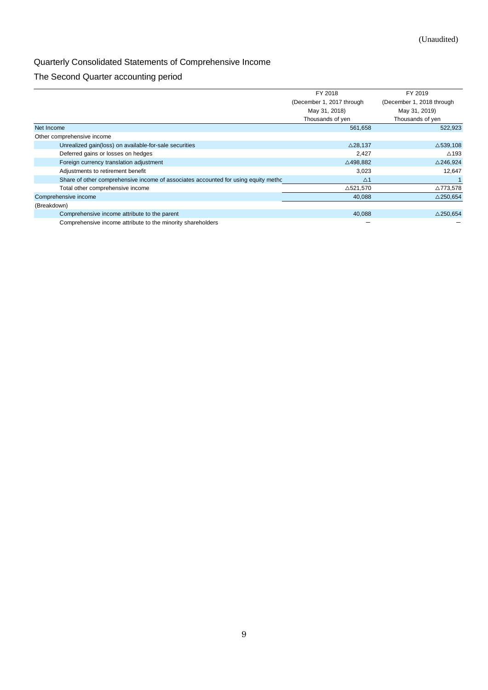# Quarterly Consolidated Statements of Comprehensive Income

# The Second Quarter accounting period

|                                                                                     | FY 2018                   | FY 2019                   |
|-------------------------------------------------------------------------------------|---------------------------|---------------------------|
|                                                                                     | (December 1, 2017 through | (December 1, 2018 through |
|                                                                                     | May 31, 2018)             | May 31, 2019)             |
|                                                                                     | Thousands of yen          | Thousands of yen          |
| Net Income                                                                          | 561,658                   | 522,923                   |
| Other comprehensive income                                                          |                           |                           |
| Unrealized gain(loss) on available-for-sale securities                              | $\triangle$ 28,137        | $\triangle$ 539,108       |
| Deferred gains or losses on hedges                                                  | 2,427                     | $\triangle$ 193           |
| Foreign currency translation adjustment                                             | △498,882                  | $\triangle$ 246,924       |
| Adjustments to retirement benefit                                                   | 3,023                     | 12.647                    |
| Share of other comprehensive income of associates accounted for using equity methor | $\triangle$ 1             |                           |
| Total other comprehensive income                                                    | △521,570                  | △773,578                  |
| Comprehensive income                                                                | 40,088                    | $\triangle$ 250.654       |
| (Breakdown)                                                                         |                           |                           |
| Comprehensive income attribute to the parent                                        | 40,088                    | $\triangle$ 250.654       |
| Comprehensive income attribute to the minority shareholders                         |                           |                           |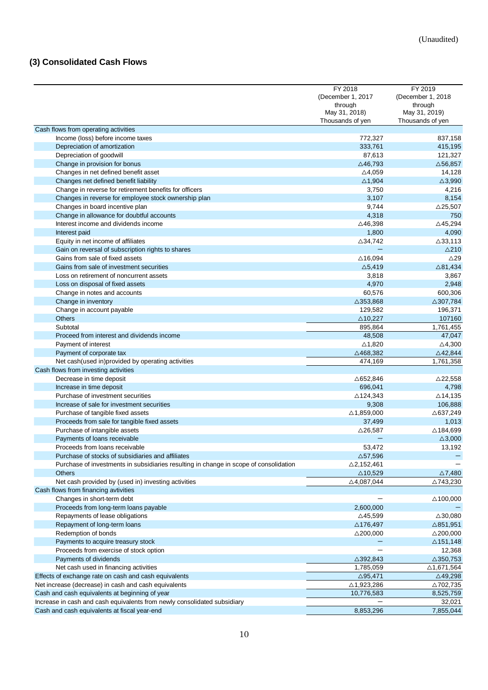# <span id="page-9-0"></span>**(3) Consolidated Cash Flows**

|                                                                                       | FY 2018               | FY 2019               |
|---------------------------------------------------------------------------------------|-----------------------|-----------------------|
|                                                                                       | (December 1, 2017)    | (December 1, 2018)    |
|                                                                                       | through               | through               |
|                                                                                       | May 31, 2018)         | May 31, 2019)         |
|                                                                                       | Thousands of yen      | Thousands of yen      |
| Cash flows from operating activities                                                  |                       |                       |
| Income (loss) before income taxes                                                     | 772,327               | 837,158               |
| Depreciation of amortization                                                          | 333,761               | 415,195               |
| Depreciation of goodwill                                                              | 87,613                | 121,327               |
| Change in provision for bonus                                                         | $\triangle$ 46,793    | $\triangle$ 56,857    |
| Changes in net defined benefit asset                                                  | $\triangle$ 4,059     | 14,128                |
| Changes net defined benefit liability                                                 | $\triangle$ 1,904     | $\triangle$ 3,990     |
| Change in reverse for retirement benefits for officers                                | 3,750                 | 4,216                 |
| Changes in reverse for employee stock ownership plan                                  | 3,107                 | 8,154                 |
| Changes in board incentive plan                                                       | 9,744                 | $\triangle$ 25,507    |
| Change in allowance for doubtful accounts                                             | 4,318                 | 750                   |
| Interest income and dividends income                                                  | △46,398               | $\triangle$ 45,294    |
|                                                                                       |                       | 4,090                 |
| Interest paid                                                                         | 1,800                 |                       |
| Equity in net income of affiliates                                                    | $\triangle$ 34,742    | $\triangle$ 33,113    |
| Gain on reversal of subscription rights to shares                                     |                       | $\triangle$ 210       |
| Gains from sale of fixed assets                                                       | $\triangle$ 16,094    | $\triangle$ 29        |
| Gains from sale of investment securities                                              | $\triangle$ 5,419     | $\triangle$ 81,434    |
| Loss on retirement of noncurrent assets                                               | 3,818                 | 3,867                 |
| Loss on disposal of fixed assets                                                      | 4,970                 | 2,948                 |
| Change in notes and accounts                                                          | 60,576                | 600,306               |
| Change in inventory                                                                   | $\triangle$ 353,868   | △307,784              |
| Change in account payable                                                             | 129,582               | 196,371               |
| <b>Others</b>                                                                         | $\triangle$ 10,227    | 107160                |
| Subtotal                                                                              | 895,864               | 1,761,455             |
| Proceed from interest and dividends income                                            | 48,508                | 47,047                |
| Payment of interest                                                                   | ∆1,820                | $\triangle$ 4,300     |
| Payment of corporate tax                                                              | $\triangle$ 468,382   | $\triangle$ 42,844    |
| Net cash(used in)provided by operating activities                                     | 474,169               | 1,761,358             |
| Cash flows from investing activities                                                  |                       |                       |
| Decrease in time deposit                                                              | △652,846              | $\triangle$ 22,558    |
| Increase in time deposit                                                              | 696,041               | 4,798                 |
| Purchase of investment securities                                                     | $\triangle$ 124,343   | $\triangle$ 14,135    |
| Increase of sale for investment securities                                            | 9,308                 | 106,888               |
| Purchase of tangible fixed assets                                                     | $\triangle$ 1,859,000 | $\triangle$ 637,249   |
| Proceeds from sale for tangible fixed assets                                          | 37,499                | 1,013                 |
| Purchase of intangible assets                                                         | $\triangle$ 26,587    | △184,699              |
| Payments of loans receivable                                                          |                       | $\triangle$ 3,000     |
| Proceeds from loans receivable                                                        | 53.472                | 13,192                |
| Purchase of stocks of subsidiaries and affiliates                                     | $\triangle$ 57,596    |                       |
| Purchase of investments in subsidiaries resulting in change in scope of consolidation |                       |                       |
|                                                                                       | $\triangle$ 2,152,461 | $\triangle$ 7,480     |
| <b>Others</b>                                                                         | $\triangle$ 10,529    |                       |
| Net cash provided by (used in) investing activities                                   | $\triangle$ 4,087,044 | △743,230              |
| Cash flows from financing avtivities                                                  |                       |                       |
| Changes in short-term debt                                                            |                       | $\triangle$ 100,000   |
| Proceeds from long-term loans payable                                                 | 2,600,000             |                       |
| Repayments of lease obligations                                                       | $\triangle$ 45,599    | $\triangle 30,080$    |
| Repayment of long-term loans                                                          | △176,497              | $\triangle$ 851,951   |
| Redemption of bonds                                                                   | $\triangle$ 200,000   | $\triangle$ 200,000   |
| Payments to acquire treasury stock                                                    |                       | $\triangle$ 151,148   |
| Proceeds from exercise of stock option                                                |                       | 12,368                |
| Payments of dividends                                                                 | $\triangle$ 392,843   | $\triangle$ 350,753   |
| Net cash used in financing activities                                                 | 1,785,059             | $\triangle$ 1,671,564 |
| Effects of exchange rate on cash and cash equivalents                                 | $\triangle$ 95,471    | $\triangle$ 49,298    |
| Net increase (decrease) in cash and cash equivalents                                  | △1,923,286            | △702,735              |
| Cash and cash equivalents at beginning of year                                        | 10,776,583            | 8,525,759             |
| Increase in cash and cash equivalents from newly consolidated subsidiary              |                       | 32,021                |
| Cash and cash equivalents at fiscal year-end                                          | 8,853,296             | 7,855,044             |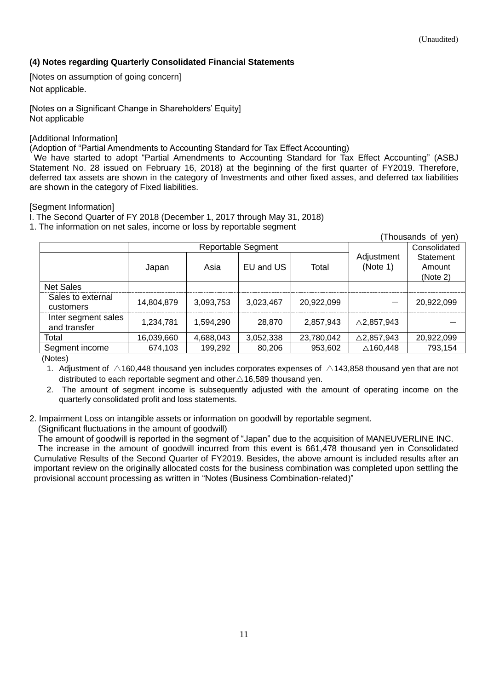### <span id="page-10-0"></span>**(4) Notes regarding Quarterly Consolidated Financial Statements**

<span id="page-10-1"></span>[Notes on assumption of going concern] Not applicable.

<span id="page-10-2"></span>[Notes on a Significant Change in Shareholders' Equity] Not applicable

#### <span id="page-10-3"></span>[Additional Information]

(Adoption of "Partial Amendments to Accounting Standard for Tax Effect Accounting)

We have started to adopt "Partial Amendments to Accounting Standard for Tax Effect Accounting" (ASBJ Statement No. 28 issued on February 16, 2018) at the beginning of the first quarter of FY2019. Therefore, deferred tax assets are shown in the category of Investments and other fixed asses, and deferred tax liabilities are shown in the category of Fixed liabilities.

#### <span id="page-10-4"></span>[Segment Information]

I. The Second Quarter of FY 2018 (December 1, 2017 through May 31, 2018)

1. The information on net sales, income or loss by reportable segment

|                                     |                           |           |           |            |                        | (Thousands of yen)              |
|-------------------------------------|---------------------------|-----------|-----------|------------|------------------------|---------------------------------|
|                                     | <b>Reportable Segment</b> |           |           |            | Consolidated           |                                 |
|                                     | Japan                     | Asia      | EU and US | Total      | Adjustment<br>(Note 1) | Statement<br>Amount<br>(Note 2) |
| <b>Net Sales</b>                    |                           |           |           |            |                        |                                 |
| Sales to external<br>customers      | 14,804,879                | 3,093,753 | 3.023.467 | 20,922,099 | –                      | 20,922,099                      |
| Inter segment sales<br>and transfer | 1.234.781                 | 1,594,290 | 28,870    | 2,857,943  | $\triangle$ 2,857,943  |                                 |
| Total                               | 16,039,660                | 4,688,043 | 3,052,338 | 23,780,042 | $\triangle$ 2,857,943  | 20,922,099                      |
| Segment income                      | 674,103                   | 199,292   | 80,206    | 953,602    | $\triangle$ 160,448    | 793,154                         |
| $\sqrt{2}$                          |                           |           |           |            |                        |                                 |

(Notes)

1. Adjustment of  $\triangle$ 160,448 thousand yen includes corporates expenses of  $\triangle$ 143,858 thousand yen that are not distributed to each reportable segment and other $\triangle$ 16,589 thousand yen.

2. The amount of segment income is subsequently adjusted with the amount of operating income on the quarterly consolidated profit and loss statements.

2. Impairment Loss on intangible assets or information on goodwill by reportable segment.

(Significant fluctuations in the amount of goodwill)

 The amount of goodwill is reported in the segment of "Japan" due to the acquisition of MANEUVERLINE INC. The increase in the amount of goodwill incurred from this event is 661,478 thousand yen in Consolidated Cumulative Results of the Second Quarter of FY2019. Besides, the above amount is included results after an important review on the originally allocated costs for the business combination was completed upon settling the provisional account processing as written in "Notes (Business Combination-related)"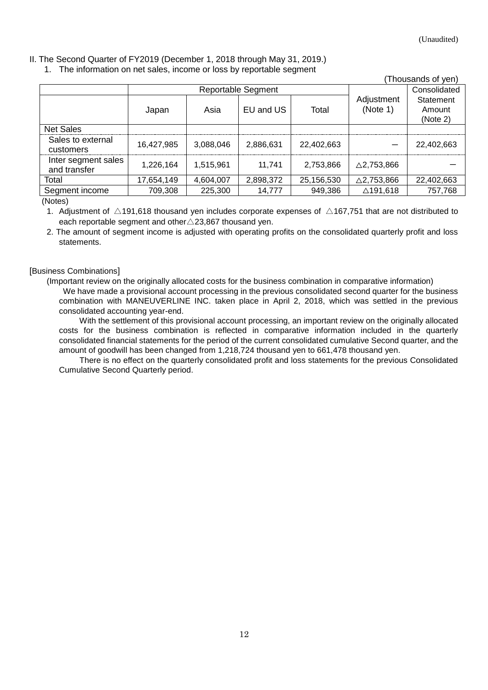#### II. The Second Quarter of FY2019 (December 1, 2018 through May 31, 2019.)

1. The information on net sales, income or loss by reportable segment

|                                     |                    |           |           |            |                        | (Thousands of yen)              |
|-------------------------------------|--------------------|-----------|-----------|------------|------------------------|---------------------------------|
|                                     | Reportable Segment |           |           |            | Consolidated           |                                 |
|                                     | Japan              | Asia      | EU and US | Total      | Adjustment<br>(Note 1) | Statement<br>Amount<br>(Note 2) |
| <b>Net Sales</b>                    |                    |           |           |            |                        |                                 |
| Sales to external<br>customers      | 16,427,985         | 3,088,046 | 2,886,631 | 22,402,663 |                        | 22,402,663                      |
| Inter segment sales<br>and transfer | 1,226,164          | 1.515.961 | 11.741    | 2,753,866  | $\triangle$ 2,753,866  |                                 |
| Total                               | 17,654,149         | 4,604,007 | 2,898,372 | 25,156,530 | $\triangle$ 2,753,866  | 22,402,663                      |
| Segment income                      | 709,308            | 225,300   | 14,777    | 949,386    | △191,618               | 757,768                         |

(Notes)

1. Adjustment of  $\triangle$ 191,618 thousand yen includes corporate expenses of  $\triangle$ 167,751 that are not distributed to each reportable segment and other△23,867 thousand yen.

2. The amount of segment income is adjusted with operating profits on the consolidated quarterly profit and loss statements.

#### <span id="page-11-0"></span>[Business Combinations]

(Important review on the originally allocated costs for the business combination in comparative information) We have made a provisional account processing in the previous consolidated second quarter for the business combination with MANEUVERLINE INC. taken place in April 2, 2018, which was settled in the previous consolidated accounting year-end.

 With the settlement of this provisional account processing, an important review on the originally allocated costs for the business combination is reflected in comparative information included in the quarterly consolidated financial statements for the period of the current consolidated cumulative Second quarter, and the amount of goodwill has been changed from 1,218,724 thousand yen to 661,478 thousand yen.

 There is no effect on the quarterly consolidated profit and loss statements for the previous Consolidated Cumulative Second Quarterly period.